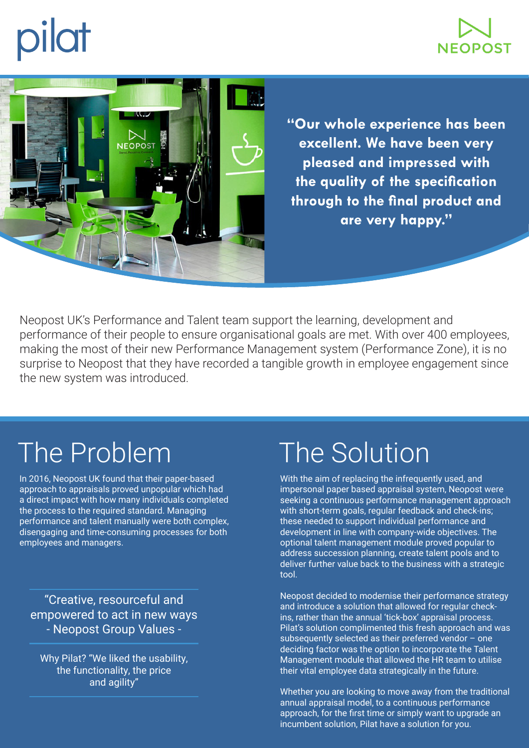



**"Our whole experience has been excellent. We have been very pleased and impressed with the quality of the specification through to the final product and are very happy."**

Neopost UK's Performance and Talent team support the learning, development and performance of their people to ensure organisational goals are met. With over 400 employees, making the most of their new Performance Management system (Performance Zone), it is no surprise to Neopost that they have recorded a tangible growth in employee engagement since the new system was introduced.

# The Problem

In 2016, Neopost UK found that their paper-based approach to appraisals proved unpopular which had a direct impact with how many individuals completed the process to the required standard. Managing performance and talent manually were both complex, disengaging and time-consuming processes for both employees and managers.

"Creative, resourceful and empowered to act in new ways - Neopost Group Values -

Why Pilat? "We liked the usability, the functionality, the price and agility"

# The Solution

With the aim of replacing the infrequently used, and impersonal paper based appraisal system, Neopost were seeking a continuous performance management approach with short-term goals, regular feedback and check-ins; these needed to support individual performance and development in line with company-wide objectives. The optional talent management module proved popular to address succession planning, create talent pools and to deliver further value back to the business with a strategic tool.

Neopost decided to modernise their performance strategy and introduce a solution that allowed for regular checkins, rather than the annual 'tick-box' appraisal process. Pilat's solution complimented this fresh approach and was subsequently selected as their preferred vendor – one deciding factor was the option to incorporate the Talent Management module that allowed the HR team to utilise their vital employee data strategically in the future.

Whether you are looking to move away from the traditional annual appraisal model, to a continuous performance approach, for the first time or simply want to upgrade an incumbent solution, Pilat have a solution for you.